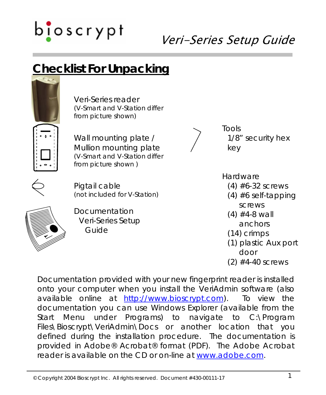

### **Checklist For Unpacking**



Veri-Series reader (V-Smart and V-Station differ from picture shown)



Wall mounting plate / Mullion mounting plate (V-Smart and V-Station differ from picture shown )

Pigtail cable (not included for V-Station)



Documentation Veri-Series Setup Guide



Tools 1/8" security hex key

**Hardware** 

- $(4)$  #6-32 screws
- $(4)$  #6 self-tapping screws
- $(4)$  #4-8 wall anchors
- (14) crimps
- (1) plastic Aux port door
- $(2)$  #4-40 screws

Documentation provided with your new fingerprint reader is installed onto your computer when you install the VeriAdmin software (also available online at [http://www.bioscrypt.com\)](http://www.bioscrypt.com/). To view the documentation you can use Windows Explorer (available from the Start Menu under Programs) to navigate to C:\Program Files\Bioscrypt\VeriAdmin\Docs or another location that you defined during the installation procedure. The documentation is provided in Adobe® Acrobat® format (PDF). The Adobe Acrobat reader is available on the CD or on-line at [www.adobe.com.](http://www.adobe.com/)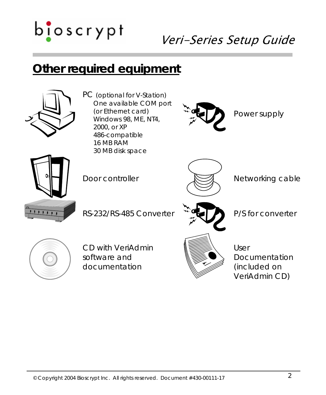### Veri-Series Setup Guide

### **Other required equipment**



PC (optional for V-Station) One available COM port (or Ethernet card) Windows 98, ME, NT4, 2000, or XP 486-compatible 16 MB RAM 30 MB disk space



Power supply





Door controller  $\mathbb{N}$  Networking cable



CD with VeriAdmin software and documentation



User Documentation (included on VeriAdmin CD)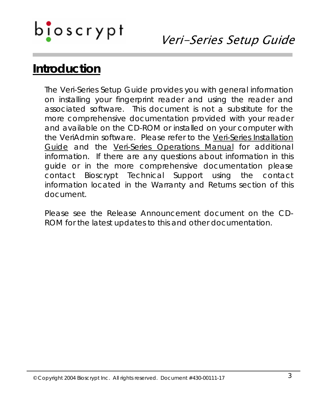### Veri-Series Setup Guide

### **Introduction**

The Veri-Series Setup Guide provides you with general information on installing your fingerprint reader and using the reader and associated software. This document is not a substitute for the more comprehensive documentation provided with your reader and available on the CD-ROM or installed on your computer with the VeriAdmin software. Please refer to the Veri-Series Installation Guide and the Veri-Series Operations Manual for additional information. If there are any questions about information in this guide or in the more comprehensive documentation please contact Bioscrypt Technical Support using the contact information located in the Warranty and Returns section of this document.

Please see the Release Announcement document on the CD-ROM for the latest updates to this and other documentation.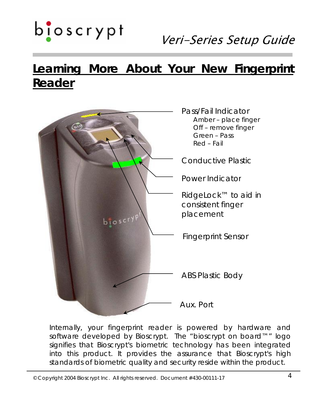

### **Learning More About Your New Fingerprint Reader**



Internally, your fingerprint reader is powered by hardware and software developed by Bioscrypt. The "bioscrypt on board™" logo signifies that Bioscrypt's biometric technology has been integrated into this product. It provides the assurance that Bioscrypt's high standards of biometric quality and security reside within the product.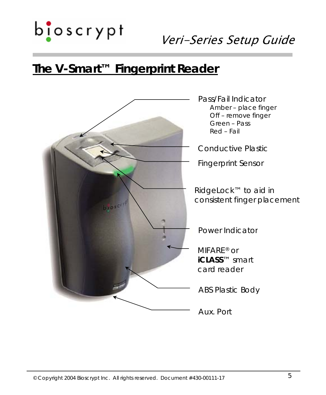$b$ loscrypt

### **The V-Smart™ Fingerprint Reader**

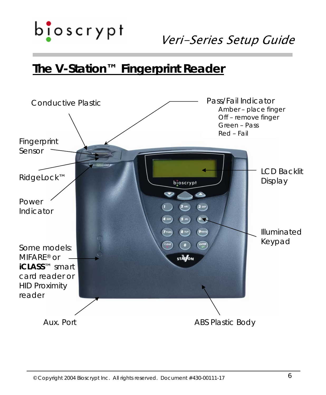$b$ loscrypt

### **The V-Station™ Fingerprint Reader**

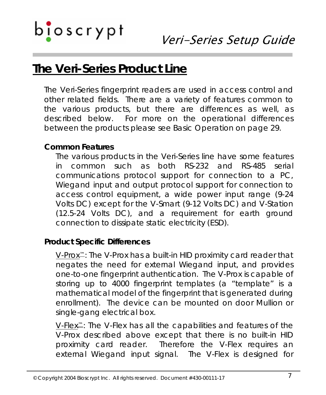### **The Veri-Series Product Line**

The Veri-Series fingerprint readers are used in access control and other related fields. There are a variety of features common to the various products, but there are differences as well, as described below. For more on the operational differences between the products please see Basic Operation on page 29.

#### **Common Features**

The various products in the Veri-Series line have some features in common such as both RS-232 and RS-485 serial communications protocol support for connection to a PC, Wiegand input and output protocol support for connection to access control equipment, a wide power input range (9-24 Volts DC) except for the V-Smart (9-12 Volts DC) and V-Station (12.5-24 Volts DC), and a requirement for earth ground connection to dissipate static electricity (ESD).

#### **Product Specific Differences**

V-Prox™: The V-Prox has a built-in HID proximity card reader that negates the need for external Wiegand input, and provides one-to-one fingerprint authentication. The V-Prox is capable of storing up to 4000 fingerprint templates (a "template" is a mathematical model of the fingerprint that is generated during enrollment). The device can be mounted on door Mullion or single-gang electrical box.

V-Flex™: The V-Flex has all the capabilities and features of the V-Prox described above except that there is no built-in HID proximity card reader. Therefore the V-Flex requires an external Wiegand input signal. The V-Flex is designed for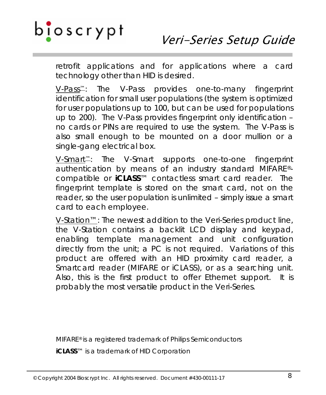retrofit applications and for applications where a card technology other than HID is desired.

V-Pass™: The V-Pass provides one-to-many fingerprint identification for small user populations (the system is optimized for user populations up to 100, but can be used for populations up to 200). The V-Pass provides fingerprint only identification – no cards or PINs are required to use the system. The V-Pass is also small enough to be mounted on a door mullion or a single-gang electrical box.

V-Smart™: The V-Smart supports one-to-one fingerprint authentication by means of an industry standard MIFARE® compatible or *iCLASS*™ contactless smart card reader. The fingerprint template is stored on the smart card, not on the reader, so the user population is unlimited – simply issue a smart card to each employee.

V-Station™: The newest addition to the Veri-Series product line, the V-Station contains a backlit LCD display and keypad, enabling template management and unit configuration directly from the unit; a PC is not required. Variations of this product are offered with an HID proximity card reader, a Smartcard reader (MIFARE or *iCLASS*), or as a searching unit. Also, this is the first product to offer Ethernet support. It is probably the most versatile product in the Veri-Series.

MIFARE® is a registered trademark of Philips Semiconductors *iCLASS*™ is a trademark of HID Corporation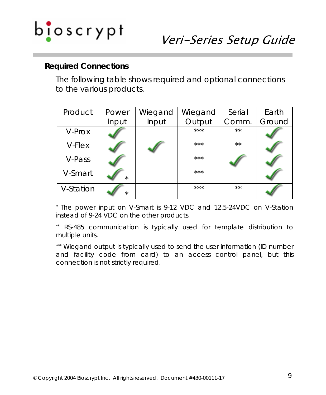# b<mark>i</mark>oscrypt

#### **Required Connections**

The following table shows required and optional connections to the various products.

| Product   | Power   | Wiegand | Wiegand | Serial       | Earth  |
|-----------|---------|---------|---------|--------------|--------|
|           | Input   | Input   | Output  | Comm.        | Ground |
| V-Prox    |         |         | ***     | $\star\star$ |        |
| V-Flex    |         |         | ***     | $***$        |        |
| V-Pass    |         |         | $***$   |              |        |
| V-Smart   | $\star$ |         | ***     |              |        |
| V-Station | $\star$ |         | ***     | $\star\star$ |        |

\* The power input on V-Smart is 9-12 VDC and 12.5-24VDC on V-Station instead of 9-24 VDC on the other products.

\*\* RS-485 communication is typically used for template distribution to multiple units.

\*\*\* Wiegand output is typically used to send the user information (ID number and facility code from card) to an access control panel, but this connection is not strictly required.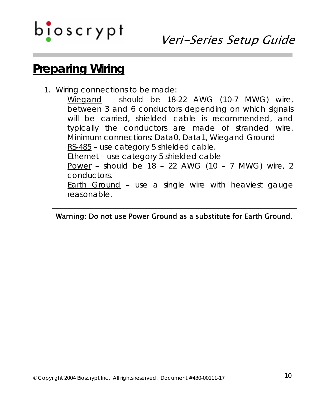### Veri-Series Setup Guide

### **Preparing Wiring**

1. Wiring connections to be made:

Wiegand – should be 18-22 AWG (10-7 MWG) wire, between 3 and 6 conductors depending on which signals will be carried, shielded cable is recommended, and typically the conductors are made of stranded wire. Minimum connections: Data0, Data1, Wiegand Ground RS-485 – use category 5 shielded cable. Ethernet – use category 5 shielded cable

Power – should be 18 – 22 AWG (10 – 7 MWG) wire, 2 conductors.

**Earth Ground - use a single wire with heaviest gauge** reasonable.

#### Warning: Do not use Power Ground as a substitute for Earth Ground.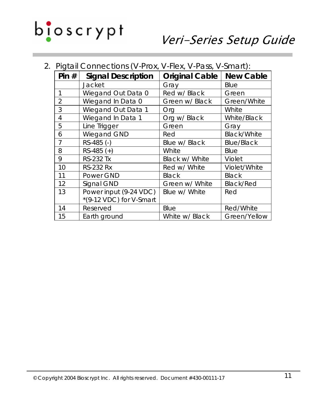

|  |  |  |  |  |  | 2. Pigtail Connections (V-Prox, V-Flex, V-Pass, V-Smart): |
|--|--|--|--|--|--|-----------------------------------------------------------|
|--|--|--|--|--|--|-----------------------------------------------------------|

| Pin $#$        | <b>Signal Description</b>         | <b>Original Cable</b> | <b>New Cable</b>   |
|----------------|-----------------------------------|-----------------------|--------------------|
|                | Jacket                            | Gray                  | Blue               |
| 1              | Wiegand Out Data 0                | Red w/ Black          | Green              |
| $\overline{2}$ | Wiegand In Data 0                 | Green w/ Black        | Green/White        |
| 3              | Wiegand Out Data 1                | Org                   | White              |
| $\overline{4}$ | Wiegand In Data 1                 | Org w/ Black          | White/Black        |
| 5              | Line Trigger                      | Green                 | Gray               |
| 6              | Wiegand GND                       | Red                   | <b>Black/White</b> |
| $\overline{7}$ | RS-485 (-)                        | Blue w/ Black         | <b>Blue/Black</b>  |
| 8              | $RS-485 (+)$                      | White                 | Blue               |
| 9              | <b>RS-232 Tx</b>                  | Black w/ White        | Violet             |
| 10             | <b>RS-232 Rx</b>                  | Red w/ White          | Violet/White       |
| 11             | Power GND                         | <b>Black</b>          | Black              |
| 12             | Signal GND                        | Green w/ White        | <b>Black/Red</b>   |
| 13             | Power input (9-24 VDC)            | Blue w/ White         | Red                |
|                | $*(9-12 \text{ VDC})$ for V-Smart |                       |                    |
| 14             | Reserved                          | Blue                  | Red/White          |
| 15             | Earth ground                      | White w/ Black        | Green/Yellow       |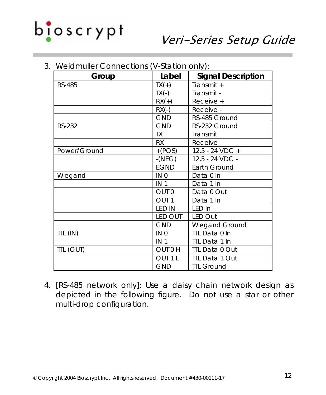

| Group         | Label              | <b>Signal Description</b> |
|---------------|--------------------|---------------------------|
| <b>RS-485</b> | $TX(+)$            | Transmit +                |
|               | $TX(-)$            | Transmit -                |
|               | $RX(+)$            | Receive +                 |
|               | $RX(-)$            | Receive -                 |
|               | <b>GND</b>         | RS-485 Ground             |
| RS-232        | <b>GND</b>         | RS-232 Ground             |
|               | TX                 | Transmit                  |
|               | RX                 | Receive                   |
| Power/Ground  | $+(POS)$           | 12.5 - 24 VDC +           |
|               | $-(NEG)$           | 12.5 - 24 VDC -           |
|               | <b>EGND</b>        | Earth Ground              |
| Wiegand       | IN 0               | Data 0 In                 |
|               | IN <sub>1</sub>    | Data 1 In                 |
|               | OUT <sub>0</sub>   | Data 0 Out                |
|               | OUT <sub>1</sub>   | Data 1 In                 |
|               | <b>LED IN</b>      | LED In                    |
|               | <b>LED OUT</b>     | LED Out                   |
|               | <b>GND</b>         | Wiegand Ground            |
| TTL (IN)      | IN 0               | TTL Data 0 In             |
|               | IN <sub>1</sub>    | TTL Data 1 In             |
| TTL (OUT)     | OUT 0 H            | TTL Data 0 Out            |
|               | OUT <sub>1</sub> L | TTL Data 1 Out            |
|               | <b>GND</b>         | <b>TTL Ground</b>         |

3. Weidmuller Connections (V-Station only):

4. [RS-485 network only]: Use a daisy chain network design as depicted in the following figure. Do not use a star or other multi-drop configuration.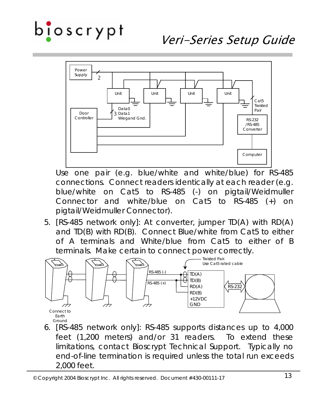### Veri-Series Setup Guide



Use one pair (e.g. blue/white and white/blue) for RS-485 connections. Connect readers identically at each reader (e.g. blue/white on Cat5 to RS-485 (-) on pigtail/Weidmuller Connector and white/blue on Cat5 to RS-485 (+) on pigtail/Weidmuller Connector).

5. [RS-485 network only]: At converter, jumper TD(A) with RD(A) and TD(B) with RD(B). Connect Blue/white from Cat5 to either of A terminals and White/blue from Cat5 to either of B terminals. Make certain to connect power correctly.



6. [RS-485 network only]: RS-485 supports distances up to 4,000 feet (1,200 meters) and/or 31 readers. To extend these limitations, contact Bioscrypt Technical Support. Typically no end-of-line termination is required unless the total run exceeds 2,000 feet.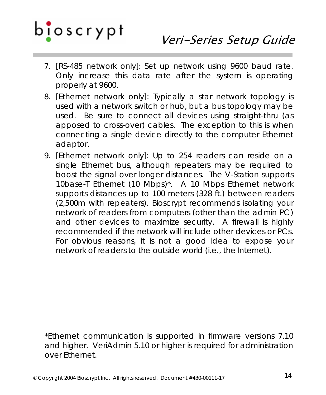- 7. [RS-485 network only]: Set up network using 9600 baud rate. Only increase this data rate after the system is operating properly at 9600.
- 8. [Ethernet network only]: Typically a star network topology is used with a network switch or hub, but a bus topology may be used. Be sure to connect all devices using straight-thru (as apposed to cross-over) cables. The exception to this is when connecting a single device directly to the computer Ethernet adaptor.
- 9. [Ethernet network only]: Up to 254 readers can reside on a single Ethernet bus, although repeaters may be required to boost the signal over longer distances. The V-Station supports 10base-T Ethernet (10 Mbps)\*. A 10 Mbps Ethernet network supports distances up to 100 meters (328 ft.) between readers (2,500m with repeaters). Bioscrypt recommends isolating your network of readers from computers (other than the admin PC) and other devices to maximize security. A firewall is highly recommended if the network will include other devices or PCs. For obvious reasons, it is not a good idea to expose your network of readers to the outside world (i.e., the Internet).

\*Ethernet communication is supported in firmware versions 7.10 and higher. VeriAdmin 5.10 or higher is required for administration over Ethernet.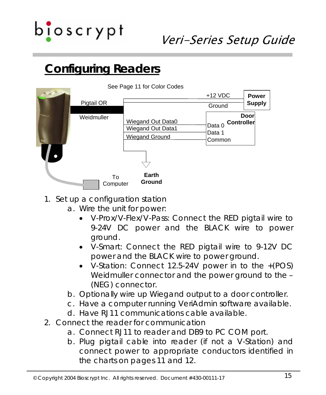

### **Configuring Readers**



- 1. Set up a configuration station
	- a. Wire the unit for power:
		- V-Prox/V-Flex/V-Pass: Connect the RED pigtail wire to 9-24V DC power and the BLACK wire to power ground.
		- V-Smart: Connect the RED pigtail wire to 9-12V DC power and the BLACK wire to power ground.
		- V-Station: Connect 12.5-24V power in to the +(POS) Weidmuller connector and the power ground to the – (NEG) connector.
	- b. Optionally wire up Wiegand output to a door controller.
	- c. Have a computer running VeriAdmin software available.
	- d. Have RJ11 communications cable available.
- 2. Connect the reader for communication
	- a. Connect RJ11 to reader and DB9 to PC COM port.
	- b. Plug pigtail cable into reader (if not a V-Station) and connect power to appropriate conductors identified in the charts on pages 11 and 12.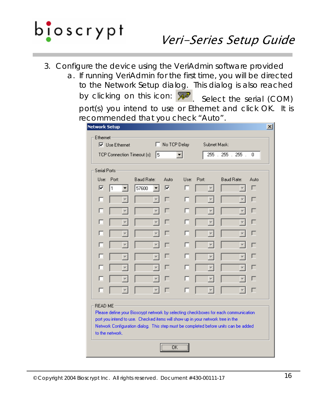

- 3. Configure the device using the VeriAdmin software provided
	- a. If running VeriAdmin for the first time, you will be directed to the Network Setup dialog. This dialog is also reached by clicking on this icon:  $\sqrt{M}$  Select the serial (COM) port(s) you intend to use or Ethernet and click OK. It is recommended that you check "Auto".

| Ethernet-                                        | $\nabla$ Use Ethernet |                                                                                | No TCP Delay |      | Subnet Mask: |                                                                                     |      |
|--------------------------------------------------|-----------------------|--------------------------------------------------------------------------------|--------------|------|--------------|-------------------------------------------------------------------------------------|------|
| 255 . 255 . 255 .<br>TCP Connection Timeout [s]: |                       |                                                                                | 0            |      |              |                                                                                     |      |
|                                                  |                       | 15                                                                             |              |      |              |                                                                                     |      |
| Serial Ports-                                    |                       |                                                                                |              |      |              |                                                                                     |      |
|                                                  | Lise: Port:           | <b>Baud Bate:</b>                                                              | Auto         | Use: | Port:        | Baud Rate:                                                                          | Auto |
| ⊽                                                | 11                    | 57600                                                                          | ⊽            | г    |              | $\overline{\phantom{a}}$                                                            | г    |
| г                                                |                       |                                                                                |              |      |              |                                                                                     |      |
|                                                  |                       |                                                                                |              |      |              |                                                                                     |      |
|                                                  |                       |                                                                                |              |      |              |                                                                                     |      |
| н                                                |                       |                                                                                |              |      |              |                                                                                     |      |
|                                                  |                       |                                                                                |              |      |              |                                                                                     |      |
|                                                  |                       |                                                                                |              |      |              |                                                                                     |      |
|                                                  |                       |                                                                                |              |      |              |                                                                                     |      |
|                                                  |                       |                                                                                |              |      |              |                                                                                     |      |
|                                                  |                       |                                                                                |              |      |              |                                                                                     |      |
|                                                  |                       |                                                                                |              |      |              |                                                                                     |      |
| <b>READ ME</b>                                   |                       |                                                                                |              |      |              | Please define your Bioscrypt network by selecting checkboxes for each communication |      |
|                                                  |                       | port you intend to use. Checked items will show up in your network tree in the |              |      |              |                                                                                     |      |
|                                                  |                       |                                                                                |              |      |              | Network Configuration dialog. This step must be completed before units can be added |      |
|                                                  | to the network.       |                                                                                |              |      |              |                                                                                     |      |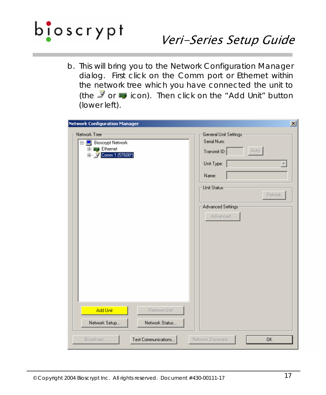

b. This will bring you to the Network Configuration Manager dialog. First click on the Comm port or Ethernet within the network tree which you have connected the unit to (the  $\bar{J}$  or  $\bar{J}$  icon). Then click on the "Add Unit" button (lower left).

| <b>Network Configuration Manager</b>                                                           | 즤                                                                                                                                               |
|------------------------------------------------------------------------------------------------|-------------------------------------------------------------------------------------------------------------------------------------------------|
| Network Tree-<br>日 Bioscrypt Network<br>中 <sub>圖</sub> Ethernet<br>由 y Comm 1 (57600*)         | General Unit Settings<br>Serial Num:<br>Auto<br>Transmit ID:<br>Unit Type:<br>Name:<br>Unit Status:<br>Refresh<br>Advanced Settings<br>Advanced |
| Add Unit<br>Remove Unit<br>Network Status<br>Network Setup<br>Test Communications<br>Broadcast | Network Discovery<br><b>OK</b>                                                                                                                  |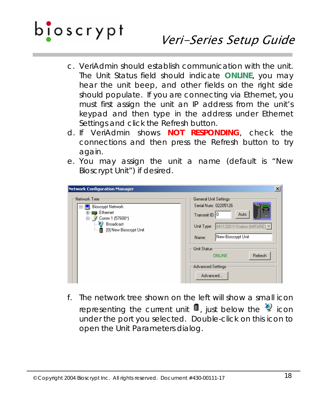

- c. VeriAdmin should establish communication with the unit. The Unit Status field should indicate **ONLINE**, you may hear the unit beep, and other fields on the right side should populate. If you are connecting via Ethernet, you must first assign the unit an IP address from the unit's keypad and then type in the address under Ethernet Settings and click the Refresh button.
- d. If VeriAdmin shows **NOT RESPONDING**, check the connections and then press the Refresh button to try again.
- e. You may assign the unit a name (default is "New Bioscrypt Unit") if desired.

| <b>Network Configuration Manager</b>                                                                                                  | $\vert x \vert$                                                                                                                                                                                                                  |
|---------------------------------------------------------------------------------------------------------------------------------------|----------------------------------------------------------------------------------------------------------------------------------------------------------------------------------------------------------------------------------|
| Network Tree<br><b>Bioscrypt Network</b><br>⊟…<br>图 Ethernet<br>Comm 1 (57600*)<br>ò~ V<br>Broadcast<br>்   [ [ O] New Bioscrypt Unit | General Unit Settings:<br>Serial Num: 02205126<br>Auto<br>Transmit ID: 0<br>Unit Type: MV1200 V-Station (MIFARE) V<br>New Bioscrypt Unit<br>Name:<br>· Unit Status·<br>Refresh<br><b>ONLINE</b><br>Advanced Settings<br>Advanced |

f. The network tree shown on the left will show a small icon representing the current unit  $\blacksquare$ , just below the  $\clubsuit$  icon under the port you selected. Double-click on this icon to open the Unit Parameters dialog.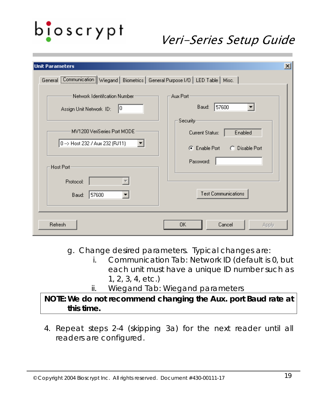## b<mark>i</mark>oscrypt

### Veri-Series Setup Guide

| <b>Unit Parameters</b>                                                                 | $\mathbf{x}$                                                               |
|----------------------------------------------------------------------------------------|----------------------------------------------------------------------------|
| General Communication   Wiegand   Biometrics   General Purpose I/O   LED Table   Misc. |                                                                            |
| Network Identification Number-<br>10<br>Assign Unit Network ID:                        | Aux Port-<br>57600<br>Baud:<br>Security-                                   |
| MV1200 VeriSeries Port MODE<br>0 -- > Host 232 / Aux 232 (RJ11)<br>Host Port-          | Enabled<br>Current Status:<br>C Enable Port<br>C Disable Port<br>Password: |
| Protocol:<br>57600<br>Baud:                                                            | <b>Test Communications</b>                                                 |
| Refresh                                                                                | OK.<br>Cancel<br>Apply                                                     |

g. Change desired parameters. Typical changes are:

- i. *Communication Tab*: Network ID (default is 0, but each unit must have a unique ID number such as 1, 2, 3, 4, etc.)
- ii. *Wiegand Tab:* Wiegand parameters

#### **NOTE: We do not recommend changing the Aux. port Baud rate at this time.**

4. Repeat steps 2-4 (skipping 3a) for the next reader until all readers are configured.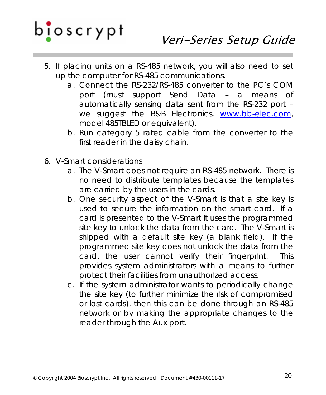

- 5. If placing units on a RS-485 network, you will also need to set up the computer for RS-485 communications.
	- a. Connect the RS-232/RS-485 converter to the PC's COM port (must support Send Data – a means of automatically sensing data sent from the RS-232 port – we suggest the B&B Electronics, [www.bb-elec.com](http://www.bb-elec.com/), model 485TBLED or equivalent).
	- b. Run category 5 rated cable from the converter to the first reader in the daisy chain.
- 6. V-Smart considerations
	- a. The V-Smart does not require an RS-485 network. There is no need to distribute templates because the templates are carried by the users in the cards.
	- b. One security aspect of the V-Smart is that a site key is used to secure the information on the smart card. If a card is presented to the V-Smart it uses the programmed site key to unlock the data from the card. The V-Smart is shipped with a default site key (a blank field). If the programmed site key does not unlock the data from the card, the user cannot verify their fingerprint. This provides system administrators with a means to further protect their facilities from unauthorized access.
	- c. If the system administrator wants to periodically change the site key (to further minimize the risk of compromised or lost cards), then this can be done through an RS-485 network or by making the appropriate changes to the reader through the Aux port.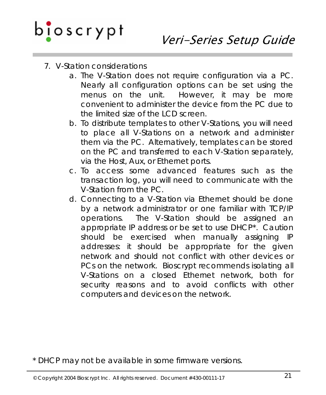- 7. V-Station considerations
	- a. The V-Station does not require configuration via a PC. Nearly all configuration options can be set using the menus on the unit. However, it may be more convenient to administer the device from the PC due to the limited size of the LCD screen.
	- b. To distribute templates to other V-Stations, you will need to place all V-Stations on a network and administer them via the PC. Alternatively, templates can be stored on the PC and transferred to each V-Station separately, via the Host, Aux, or Ethernet ports.
	- c. To access some advanced features such as the transaction log, you will need to communicate with the V-Station from the PC.
	- d. Connecting to a V-Station via Ethernet should be done by a network administrator or one familiar with TCP/IP operations. The V-Station should be assigned an appropriate IP address or be set to use DHCP\*. Caution should be exercised when manually assigning IP addresses: it should be appropriate for the given network and should not conflict with other devices or PCs on the network. Bioscrypt recommends isolating all V-Stations on a closed Ethernet network, both for security reasons and to avoid conflicts with other computers and devices on the network.

\* DHCP may not be available in some firmware versions.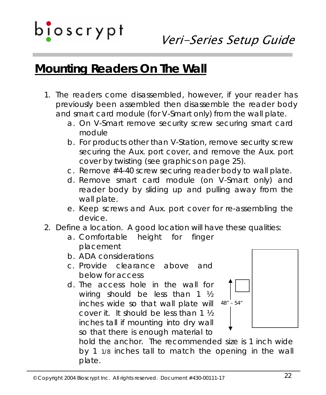### **Mounting Readers On The Wall**

- 1. The readers come disassembled, however, if your reader has previously been assembled then disassemble the reader body and smart card module (for V-Smart only) from the wall plate.
	- a. On V-Smart remove security screw securing smart card module
	- b. For products other than V-Station, remove security screw securing the Aux. port cover, and remove the Aux. port cover by twisting (see graphics on page 25).
	- c. Remove #4-40 screw securing reader body to wall plate.
	- d. Remove smart card module (on V-Smart only) and reader body by sliding up and pulling away from the wall plate.
	- e. Keep screws and Aux. port cover for re-assembling the device.
- 2. Define a location. A good location will have these qualities:
	- a. Comfortable height for finger placement
	- b. ADA considerations
	- c. Provide clearance above and below for access
	- d. The access hole in the wall for wiring should be less than 1 ½ inches wide so that wall plate will cover it. It should be less than 1 ½ inches tall if mounting into dry wall so that there is enough material to



hold the anchor. The recommended size is 1 inch wide by 1 1/8 inches tall to match the opening in the wall plate.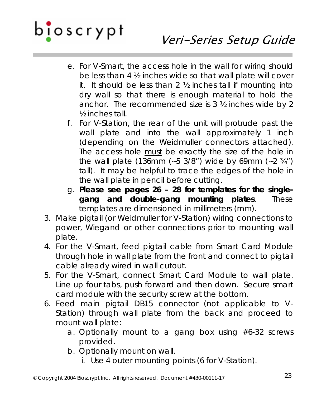### Veri-Series Setup Guide

- e. For V-Smart, the access hole in the wall for wiring should be less than 4 ½ inches wide so that wall plate will cover it. It should be less than 2 ½ inches tall if mounting into dry wall so that there is enough material to hold the anchor. The recommended size is 3 ½ inches wide by 2 ½ inches tall.
- f. For V-Station, the rear of the unit will protrude past the wall plate and into the wall approximately 1 inch (depending on the Weidmuller connectors attached). The access hole must be exactly the size of the hole in the wall plate (136mm (~5 3/8") wide by 69mm (~2  $\frac{3}{4}$ ") tall). It may be helpful to trace the edges of the hole in the wall plate in pencil before cutting.
- g. **Please see pages 26 28 for templates for the singlegang and double-gang mounting plates**. These templates are dimensioned in millimeters (mm).
- 3. Make pigtail (or Weidmuller for V-Station) wiring connections to power, Wiegand or other connections prior to mounting wall plate.
- 4. For the V-Smart, feed pigtail cable from Smart Card Module through hole in wall plate from the front and connect to pigtail cable already wired in wall cutout.
- 5. For the V-Smart, connect Smart Card Module to wall plate. Line up four tabs, push forward and then down. Secure smart card module with the security screw at the bottom.
- 6. Feed main pigtail DB15 connector (not applicable to V-Station) through wall plate from the back and proceed to mount wall plate:
	- a. Optionally mount to a gang box using #6-32 screws provided.
	- b. Optionally mount on wall.
		- i. Use 4 outer mounting points (6 for V-Station).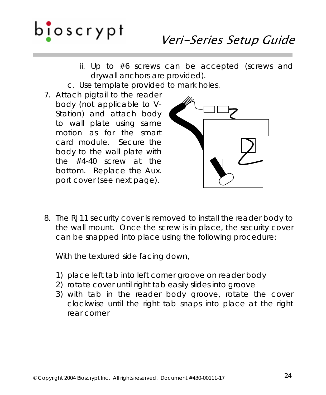- ii. Up to #6 screws can be accepted (screws and drywall anchors are provided).
- c. Use template provided to mark holes.
- 7. Attach pigtail to the reader body (not applicable to V-Station) and attach body to wall plate using same motion as for the smart card module. Secure the body to the wall plate with the #4-40 screw at the bottom. Replace the Aux. port cover (see next page).



8. The RJ11 security cover is removed to install the reader body to the wall mount. Once the screw is in place, the security cover can be snapped into place using the following procedure:

With the textured side facing down,

- 1) place left tab into left corner groove on reader body
- 2) rotate cover until right tab easily slides into groove
- 3) with tab in the reader body groove, rotate the cover clockwise until the right tab snaps into place at the right rear corner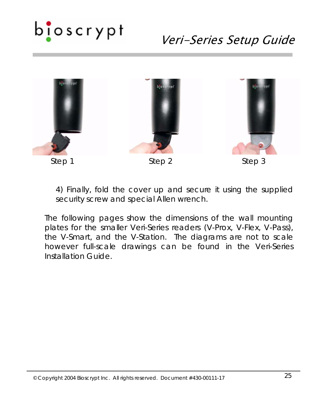## b<mark>i</mark>oscrypt

### Veri-Series Setup Guide



4) Finally, fold the cover up and secure it using the supplied security screw and special Allen wrench.

The following pages show the dimensions of the wall mounting plates for the smaller Veri-Series readers (V-Prox, V-Flex, V-Pass), the V-Smart, and the V-Station. The diagrams are not to scale however full-scale drawings can be found in the *Veri-Series Installation Guide*.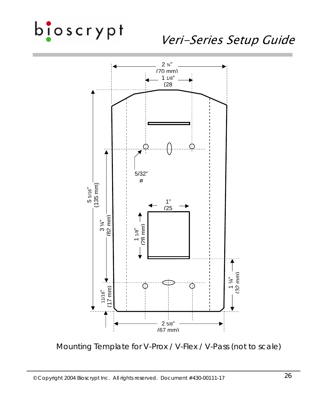### Veri-Series Setup Guide



Mounting Template for V-Prox / V-Flex / V-Pass (not to scale)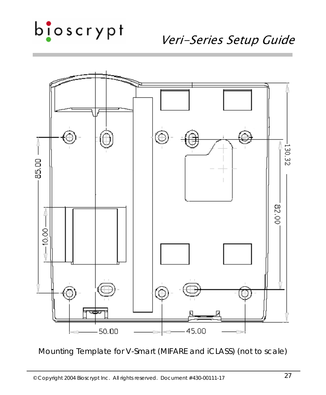Veri-Series Setup Guide



Mounting Template for V-Smart (MIFARE and iCLASS) (not to scale)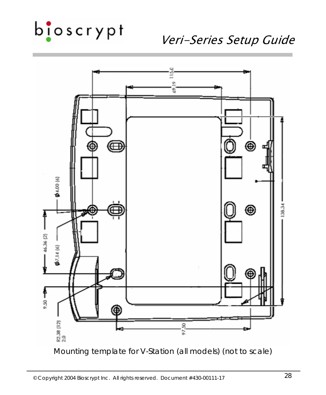### Veri-Series Setup Guide



Mounting template for V-Station (all models) (not to scale)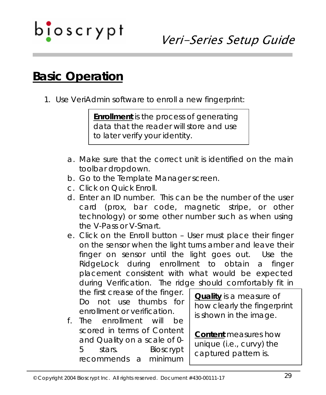### **Basic Operation**

1. Use VeriAdmin software to enroll a new fingerprint:

**Enrollment** is the process of generating data that the reader will store and use to later verify your identity.

- a. Make sure that the correct unit is identified on the main toolbar dropdown.
- b. Go to the Template Manager screen.
- c. Click on Quick Enroll.
- d. Enter an ID number. This can be the number of the user card (prox, bar code, magnetic stripe, or other technology) or some other number such as when using the V-Pass or V-Smart.
- e. Click on the Enroll button User must place their finger on the sensor when the light turns amber and leave their finger on sensor until the light goes out. Use the RidgeLock during enrollment to obtain a finger placement consistent with what would be expected during Verification. The ridge should comfortably fit in

the first crease of the finger. Do not use thumbs for enrollment or verification.

f. The enrollment will be scored in terms of Content and Quality on a scale of 0- 5 stars. Bioscrypt recommends a minimum

**Quality** is a measure of how clearly the fingerprint is shown in the image.

**Content** measures how unique (i.e., curvy) the captured pattern is.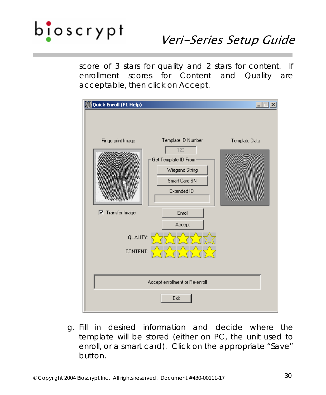score of 3 stars for quality and 2 stars for content. If enrollment scores for Content and Quality are acceptable, then click on Accept.



g. Fill in desired information and decide where the template will be stored (either on PC, the unit used to enroll, or a smart card). Click on the appropriate "Save" button.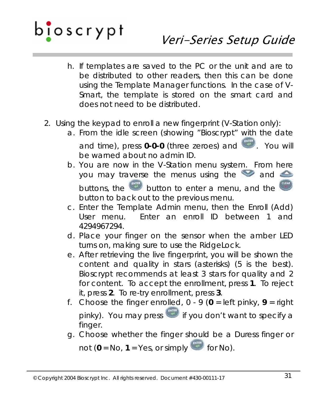- h. If templates are saved to the PC or the unit and are to be distributed to other readers, then this can be done using the Template Manager functions. In the case of V-Smart, the template is stored on the smart card and does not need to be distributed.
- 2. Using the keypad to enroll a new fingerprint (V-Station only):
	- a. From the idle screen (showing "Bioscrypt" with the date and time), press **0-0-0** (three zeroes) and **Example 20 You will** be warned about no admin ID.
	- b. You are now in the V-Station menu system. From here you may traverse the menus using the  $\bullet$  and  $\bullet$ buttons, the button to enter a menu, and the direct button to back out to the previous menu.
	- c. Enter the Template Admin menu, then the Enroll (Add) User menu. Enter an enroll ID between 1 and 4294967294.
	- d. Place your finger on the sensor when the amber LED turns on, making sure to use the RidgeLock.
	- e. After retrieving the live fingerprint, you will be shown the content and quality in stars (asterisks) (5 is the best). Bioscrypt recommends at least 3 stars for quality and 2 for content. To accept the enrollment, press **1**. To reject it, press **2**. To re-try enrollment, press **3**.
	- f. Choose the finger enrolled,  $0 9$  ( $0 =$  left pinky,  $9 =$  right pinky). You may press if you don't want to specify a finger.
	- g. Choose whether the finger should be a Duress finger or not  $(0 = No, 1 = Yes, or simply$  for No).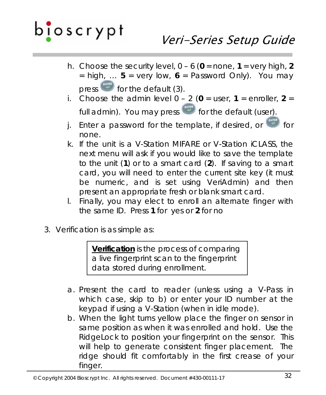- h. Choose the security level,  $0 6$  ( $0 =$  none,  $1 =$  very high, 2  $=$  high, ... **5** = very low, **6** = Password Only). You may press  $\bullet$  for the default (3).
- i. Choose the admin level  $0 2$  ( $0 =$  user,  $1 =$  enroller,  $2 =$ full admin). You may press **for the default (user)**.
- j. Enter a password for the template, if desired, or **the form** none.
- k. If the unit is a V-Station MIFARE or V-Station iCLASS, the next menu will ask if you would like to save the template to the unit (**1**) or to a smart card (**2**). If saving to a smart card, you will need to enter the current site key (it must be numeric, and is set using VeriAdmin) and then present an appropriate fresh or blank smart card.
- l. Finally, you may elect to enroll an alternate finger with the same ID. Press **1** for yes or **2** for no
- 3. Verification is as simple as:

**Verification** is the process of comparing a live fingerprint scan to the fingerprint data stored during enrollment.

- a. Present the card to reader (unless using a V-Pass in which case, skip to b) or enter your ID number at the keypad if using a V-Station (when in idle mode).
- b. When the light turns yellow place the finger on sensor in same position as when it was enrolled and hold. Use the RidgeLock to position your fingerprint on the sensor. This will help to generate consistent finger placement. The ridge should fit comfortably in the first crease of your finger.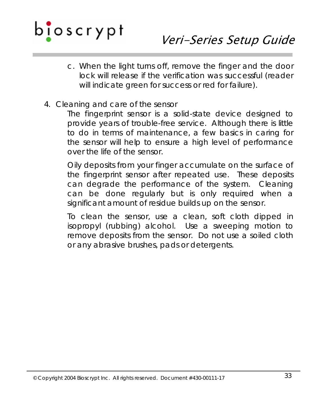- c. When the light turns off, remove the finger and the door lock will release if the verification was successful (reader will indicate green for success or red for failure).
- 4. Cleaning and care of the sensor

The fingerprint sensor is a solid-state device designed to provide years of trouble-free service. Although there is little to do in terms of maintenance, a few basics in caring for the sensor will help to ensure a high level of performance over the life of the sensor.

Oily deposits from your finger accumulate on the surface of the fingerprint sensor after repeated use. These deposits can degrade the performance of the system. Cleaning can be done regularly but is only required when a significant amount of residue builds up on the sensor.

To clean the sensor, use a clean, soft cloth dipped in isopropyl (rubbing) alcohol. Use a sweeping motion to remove deposits from the sensor. Do not use a soiled cloth or any abrasive brushes, pads or detergents.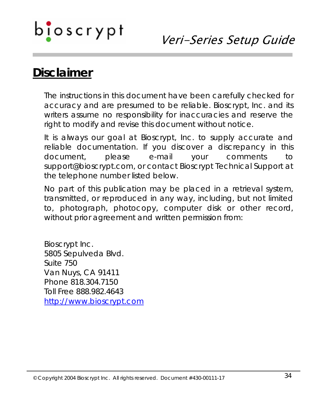### Veri-Series Setup Guide

### **Disclaimer**

The instructions in this document have been carefully checked for accuracy and are presumed to be reliable. Bioscrypt, Inc. and its writers assume no responsibility for inaccuracies and reserve the right to modify and revise this document without notice.

It is always our goal at Bioscrypt, Inc. to supply accurate and reliable documentation. If you discover a discrepancy in this document, please e-mail your comments to support@bioscrypt.com, or contact Bioscrypt Technical Support at the telephone number listed below.

No part of this publication may be placed in a retrieval system, transmitted, or reproduced in any way, including, but not limited to, photograph, photocopy, computer disk or other record, without prior agreement and written permission from:

Bioscrypt Inc. 5805 Sepulveda Blvd. Suite 750 Van Nuys, CA 91411 Phone 818.304.7150 Toll Free 888.982.4643 [http://www.bioscrypt.com](http://www.bioscrypt.com/)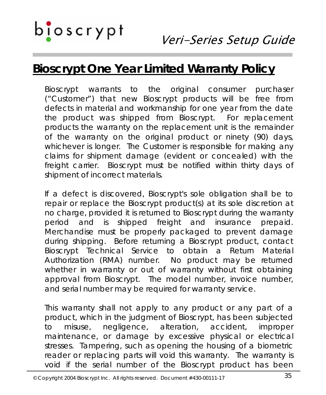## $b$   $\mathbf{I}$   $\circ$   $\mathbf{s}$   $\mathbf{c}$   $\mathbf{r}$   $\mathbf{y}$   $\mathbf{p}$   $\mathbf{t}$

### **Bioscrypt One Year Limited Warranty Policy**

Bioscrypt warrants to the original consumer purchaser ("Customer") that new Bioscrypt products will be free from defects in material and workmanship for one year from the date the product was shipped from Bioscrypt. For replacement products the warranty on the replacement unit is the remainder of the warranty on the original product or ninety (90) days, whichever is longer. The Customer is responsible for making any claims for shipment damage (evident or concealed) with the freight carrier. Bioscrypt must be notified within thirty days of shipment of incorrect materials.

If a defect is discovered, Bioscrypt's sole obligation shall be to repair or replace the Bioscrypt product(s) at its sole discretion at no charge, provided it is returned to Bioscrypt during the warranty period and is shipped freight and insurance prepaid. Merchandise must be properly packaged to prevent damage during shipping. Before returning a Bioscrypt product, contact Bioscrypt Technical Service to obtain a Return Material Authorization (RMA) number. No product may be returned whether in warranty or out of warranty without first obtaining approval from Bioscrypt. The model number, invoice number, and serial number may be required for warranty service.

This warranty shall not apply to any product or any part of a product, which in the judgment of Bioscrypt, has been subjected to misuse, negligence, alteration, accident, improper maintenance, or damage by excessive physical or electrical stresses. Tampering, such as opening the housing of a biometric reader or replacing parts will void this warranty. The warranty is void if the serial number of the Bioscrypt product has been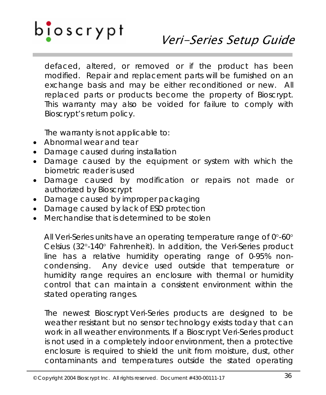## $b$   $\mathbf{I}$  oscrypt

### Veri-Series Setup Guide

defaced, altered, or removed or if the product has been modified. Repair and replacement parts will be furnished on an exchange basis and may be either reconditioned or new. All replaced parts or products become the property of Bioscrypt. This warranty may also be voided for failure to comply with Bioscrypt's return policy.

The warranty is not applicable to:

- Abnormal wear and tear
- Damage caused during installation
- Damage caused by the equipment or system with which the biometric reader is used
- Damage caused by modification or repairs not made or authorized by Bioscrypt
- Damage caused by improper packaging
- Damage caused by lack of ESD protection
- Merchandise that is determined to be stolen

All Veri-Series units have an operating temperature range of 0°-60° Celsius (32°-140° Fahrenheit). In addition, the Veri-Series product line has a relative humidity operating range of 0-95% noncondensing. Any device used outside that temperature or humidity range requires an enclosure with thermal or humidity control that can maintain a consistent environment within the stated operating ranges.

The newest Bioscrypt Veri-Series products are designed to be weather resistant but no sensor technology exists today that can work in all weather environments. If a Bioscrypt Veri-Series product is not used in a completely indoor environment, then a protective enclosure is required to shield the unit from moisture, dust, other contaminants and temperatures outside the stated operating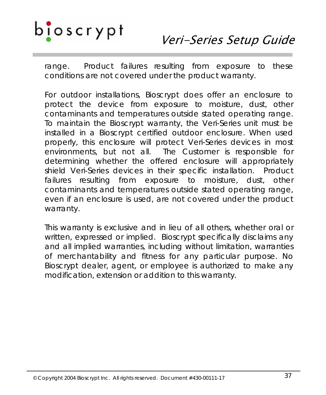### Veri-Series Setup Guide

range. Product failures resulting from exposure to these conditions are not covered under the product warranty.

For outdoor installations, Bioscrypt does offer an enclosure to protect the device from exposure to moisture, dust, other contaminants and temperatures outside stated operating range. To maintain the Bioscrypt warranty, the Veri-Series unit must be installed in a Bioscrypt certified outdoor enclosure. When used properly, this enclosure will protect Veri-Series devices in most environments, but not all. The Customer is responsible for determining whether the offered enclosure will appropriately shield Veri-Series devices in their specific installation. Product failures resulting from exposure to moisture, dust, other contaminants and temperatures outside stated operating range, even if an enclosure is used, are not covered under the product warranty.

This warranty is exclusive and in lieu of all others, whether oral or written, expressed or implied. Bioscrypt specifically disclaims any and all implied warranties, including without limitation, warranties of merchantability and fitness for any particular purpose. No Bioscrypt dealer, agent, or employee is authorized to make any modification, extension or addition to this warranty.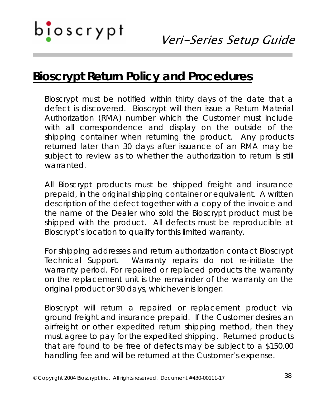### **Bioscrypt Return Policy and Procedures**

Bioscrypt must be notified within thirty days of the date that a defect is discovered. Bioscrypt will then issue a Return Material Authorization (RMA) number which the Customer must include with all correspondence and display on the outside of the shipping container when returning the product. Any products returned later than 30 days after issuance of an RMA may be subject to review as to whether the authorization to return is still warranted.

All Bioscrypt products must be shipped freight and insurance prepaid, in the original shipping container or equivalent. A written description of the defect together with a copy of the invoice and the name of the Dealer who sold the Bioscrypt product must be shipped with the product. All defects must be reproducible at Bioscrypt's location to qualify for this limited warranty.

For shipping addresses and return authorization contact Bioscrypt Technical Support. Warranty repairs do not re-initiate the warranty period. For repaired or replaced products the warranty on the replacement unit is the remainder of the warranty on the original product or 90 days, whichever is longer.

Bioscrypt will return a repaired or replacement product via ground freight and insurance prepaid. If the Customer desires an airfreight or other expedited return shipping method, then they must agree to pay for the expedited shipping. Returned products that are found to be free of defects may be subject to a \$150.00 handling fee and will be returned at the Customer's expense.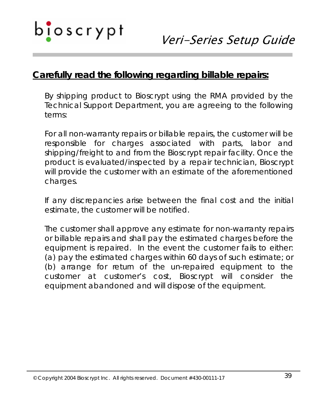### **Carefully read the following regarding billable repairs:**

By shipping product to Bioscrypt using the RMA provided by the Technical Support Department, you are agreeing to the following terms:

For all non-warranty repairs or billable repairs, the customer will be responsible for charges associated with parts, labor and shipping/freight to and from the Bioscrypt repair facility. Once the product is evaluated/inspected by a repair technician, Bioscrypt will provide the customer with an estimate of the aforementioned charges.

If any discrepancies arise between the final cost and the initial estimate, the customer will be notified.

The customer shall approve any estimate for non-warranty repairs or billable repairs and shall pay the estimated charges before the equipment is repaired. In the event the customer fails to either: (a) pay the estimated charges within 60 days of such estimate; or (b) arrange for return of the un-repaired equipment to the customer at customer's cost, Bioscrypt will consider the equipment abandoned and will dispose of the equipment.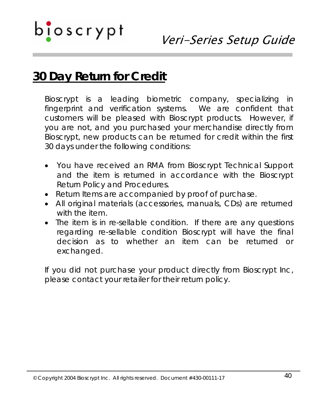### **30 Day Return for Credit**

Bioscrypt is a leading biometric company, specializing in fingerprint and verification systems. We are confident that customers will be pleased with Bioscrypt products. However, if you are not, and you purchased your merchandise directly from Bioscrypt, new products can be returned for credit within the first 30 days under the following conditions:

- You have received an RMA from Bioscrypt Technical Support and the item is returned in accordance with the Bioscrypt Return Policy and Procedures.
- Return Items are accompanied by proof of purchase.
- All original materials (accessories, manuals, CDs) are returned with the item.
- The item is in re-sellable condition. If there are any questions regarding re-sellable condition Bioscrypt will have the final decision as to whether an item can be returned or exchanged.

If you did not purchase your product directly from Bioscrypt Inc, please contact your retailer for their return policy.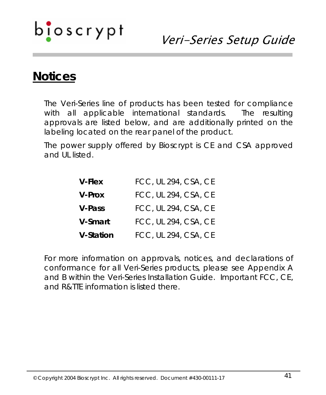## b<mark>i</mark>oscrypt

### Veri-Series Setup Guide

### **Notices**

The Veri-Series line of products has been tested for compliance with all applicable international standards. The resulting approvals are listed below, and are additionally printed on the labeling located on the rear panel of the product.

The power supply offered by Bioscrypt is CE and CSA approved and UL listed.

| <b>V-Flex</b>    | FCC, UL 294, CSA, CE |
|------------------|----------------------|
| <b>V-Prox</b>    | FCC, UL 294, CSA, CE |
| <b>V-Pass</b>    | FCC, UL 294, CSA, CE |
| V-Smart          | FCC, UL 294, CSA, CE |
| <b>V-Station</b> | FCC, UL 294, CSA, CE |

For more information on approvals, notices, and declarations of conformance for all Veri-Series products, please see Appendix A and B within the *Veri-Series Installation Guide*. Important FCC, CE, and R&TTE information is listed there.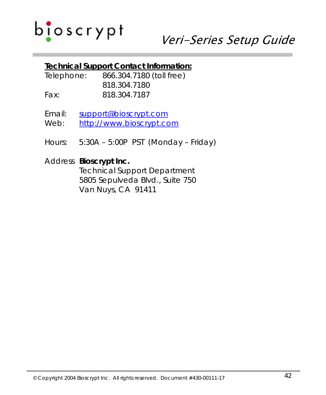#### **Technical Support Contact Information:**

- Telephone: 866.304.7180 (toll free) 818.304.7180 Fax: 818.304.7187
- Email: [support@bioscrypt.com](mailto:support@bioscrypt.com) Web: [http://www.bioscrypt.com](http://www.bioscrypt.com/)
- Hours: 5:30A 5:00P PST (Monday Friday)

#### Address **Bioscrypt Inc.**

 Technical Support Department 5805 Sepulveda Blvd., Suite 750 Van Nuys, CA 91411